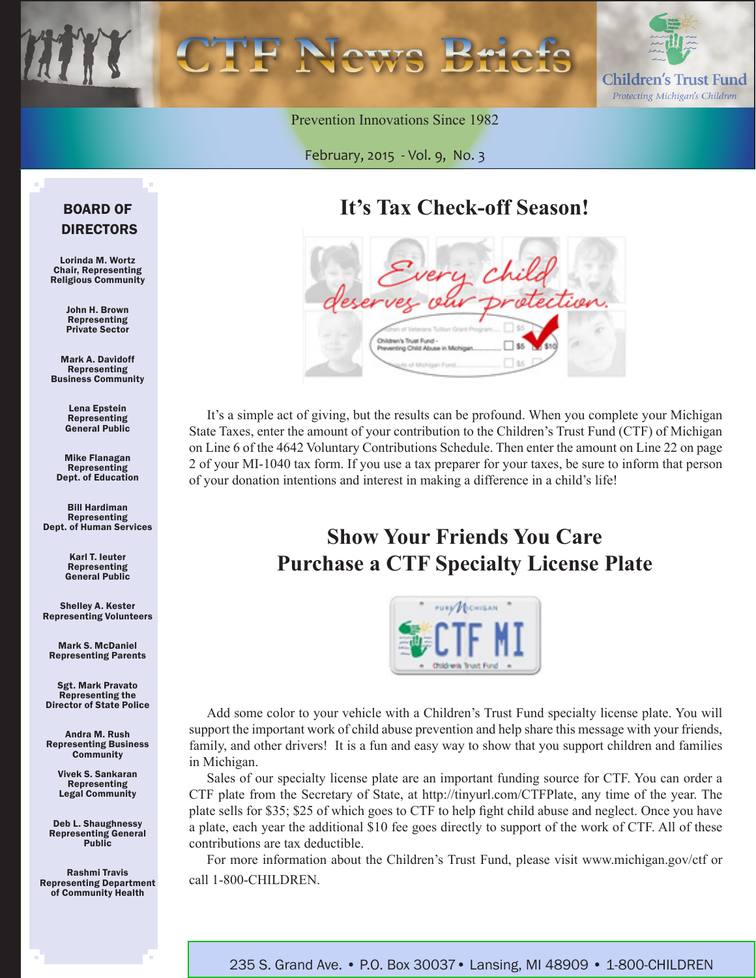

Prevention Innovations Since 1982

February, 2015 *-* Vol. 9, No. 3

# **It's Tax Check-off Season!**

| Every child<br>deserves our protection. |                                    |  |
|-----------------------------------------|------------------------------------|--|
| Children's Trust Fund -                 | Preventing Child Abuse in Michigan |  |

It's a simple act of giving, but the results can be profound. When you complete your Michigan State Taxes, enter the amount of your contribution to the Children's Trust Fund (CTF) of Michigan on [Line 6 of the 4642 Voluntary Contributions Schedule.](http://www.michigan.gov/documents/ctf/1040-4642_Promotion_480736_7.pdf?20150223111218) Then enter the amount on Line 22 on page 2 of your MI-1040 tax form. If you use a tax preparer for your taxes, be sure to inform that person of your donation intentions and interest in making a difference in a child's life!

# **Show Your Friends You Care Purchase a CTF Specialty License Plate**



Add some color to your vehicle with a Children's Trust Fund specialty license plate. You will support the important work of child abuse prevention and help share this message with your friends, family, and other drivers! It is a fun and easy way to show that you support children and families in Michigan.

Sales of our specialty license plate are an important funding source for CTF. You can order a CTF plate from the Secretary of State, at http://tinyurl.com/CTFPlate, any time of the year. The plate sells for \$35; \$25 of which goes to CTF to help fight child abuse and neglect. Once you have a plate, each year the additional \$10 fee goes directly to support of the work of CTF. All of these contributions are tax deductible.

For more information about the Children's Trust Fund, please visit www.michigan.gov/ctf or call 1-800-CHILDREN.

#### BOARD OF DIRECTORS

Lorinda M. Wortz Chair, Representing Religious Community

> John H. Brown Representing Private Sector

Mark A. Davidoff Representing Business Community

> Lena Epstein **Representing** General Public

Mike Flanagan Representing Dept. of Education

Bill Hardiman Representing Dept. of Human Services

> Karl T. Ieuter Representing General Public

Shelley A. Kester Representing Volunteers

Mark S. McDaniel Representing Parents

Sgt. Mark Pravato Representing the Director of State Police

Andra M. Rush Representing Business **Community** 

> Vivek S. Sankaran Representing Legal Community

Deb L. Shaughnessy Representing General Public

Rashmi Travis Representing Department of Community Health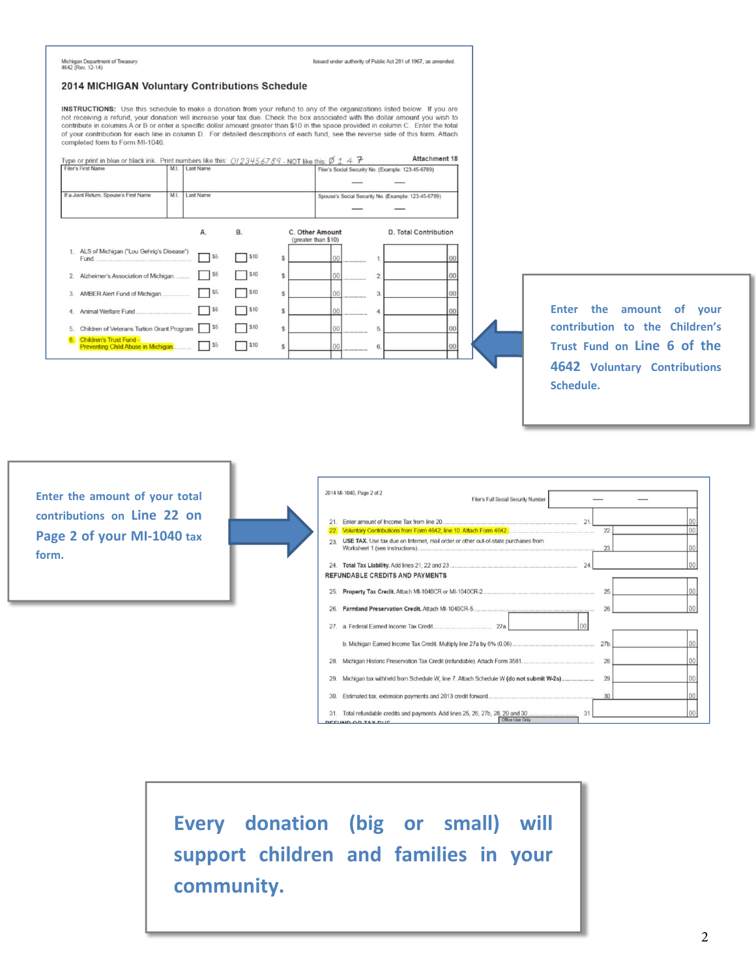|                                                                                                                                                                                                                                                                                       |                                                                                             |                                                                                                       | <b>INSTRUCTIONS:</b> Use this schedule to make a donation from your refund to any of the organizations listed below. If you are<br>not receiving a refund, your donation will increase your tax due. Check the box associated with the dollar amount you wish to         |                                                |                                                                                                                              |
|---------------------------------------------------------------------------------------------------------------------------------------------------------------------------------------------------------------------------------------------------------------------------------------|---------------------------------------------------------------------------------------------|-------------------------------------------------------------------------------------------------------|--------------------------------------------------------------------------------------------------------------------------------------------------------------------------------------------------------------------------------------------------------------------------|------------------------------------------------|------------------------------------------------------------------------------------------------------------------------------|
| completed form to Form MI-1040.                                                                                                                                                                                                                                                       |                                                                                             |                                                                                                       | contribute in columns A or B or enter a specific dollar amount greater than \$10 in the space provided in column C. Enter the total<br>of your contribution for each line in column D. For detailed descriptions of each fund, see the reverse side of this form. Attach |                                                |                                                                                                                              |
| Type or print in blue or black ink. Print numbers like this: $0/23456789$ - NOT like this: $\emptyset$ 1 4 $\mathcal{F}$<br>Filer's First Name                                                                                                                                        | M.I. Last Name                                                                              |                                                                                                       |                                                                                                                                                                                                                                                                          | Attachment 18                                  |                                                                                                                              |
|                                                                                                                                                                                                                                                                                       |                                                                                             |                                                                                                       | Filer's Social Security No. (Example: 123-45-6789)                                                                                                                                                                                                                       |                                                |                                                                                                                              |
| If a Joint Return, Spouse's First Name                                                                                                                                                                                                                                                | M.I. Last Name                                                                              |                                                                                                       | Spouse's Social Security No. (Example: 123-45-6789)                                                                                                                                                                                                                      |                                                |                                                                                                                              |
|                                                                                                                                                                                                                                                                                       |                                                                                             |                                                                                                       |                                                                                                                                                                                                                                                                          |                                                |                                                                                                                              |
| 1. ALS of Michigan ("Lou Gehrig's Disease")<br>Fund.<br>2. Alzheimer's Association of Michigan.<br>3. AMBER Alert Fund of Michigan.<br>4. Animal Welfare Fund.<br>5. Children of Veterans Tuition Grant Program 55<br>6 Children's Trust Fund -<br>Preventing Child Abuse in Michigan | A.<br>$\frac{55}{35}$<br>$\frac{1}{55}$<br>$\frac{1}{5}$<br>$\frac{55}{2}$<br>$\frac{1}{5}$ | <b>B.</b><br>$\frac{1}{1}$ \$10<br>s<br>\$10<br>ŝ<br>\$10<br>\$<br>510<br>\$<br>510<br>Ŝ.<br>510<br>Ś | C. Other Amount<br>(greater than \$10)<br>$\overline{2}$<br>00<br>00<br>$\overline{3}$<br>0 <sub>0</sub><br>$\boldsymbol{A}$<br>5<br>00<br>$\mathbf{6}$<br>00                                                                                                            | <b>D. Total Contribution</b><br>nn<br>00<br>00 | Enter the amount<br>of your<br>contribution to the Children's<br>Trust Fund on Line 6 of the<br>4642 Voluntary Contributions |
|                                                                                                                                                                                                                                                                                       |                                                                                             |                                                                                                       |                                                                                                                                                                                                                                                                          |                                                | Schedule.                                                                                                                    |

**Enter the amount of your total contributions on Line 22 on Page 2 of your MI‐1040 tax form.**

|     | 2014 MI-1040, Page 2 of 2<br>Filer's Full Social Security Number                      |                 |    |
|-----|---------------------------------------------------------------------------------------|-----------------|----|
| 21  | 21.                                                                                   |                 |    |
| 22  | Voluntary Contributions from Form 4642, line 10. Attach Form 4642.                    | 22              | 00 |
| 23  | USE TAX. Use tax due on Internet, mail order or other out-of-state purchases from     | 23.             | 00 |
| 24. | 24                                                                                    |                 | 00 |
|     | <b>REFUNDABLE CREDITS AND PAYMENTS</b>                                                |                 |    |
| 25. |                                                                                       | 25.             |    |
| 26  |                                                                                       | 26              |    |
| 27. | 00                                                                                    |                 |    |
|     |                                                                                       | 27 <sub>b</sub> |    |
| 28. |                                                                                       | 28              | 00 |
| 29  | Michigan tax withheld from Schedule W, line 7. Attach Schedule W (do not submit W-2s) | 29              | 00 |
| 30  |                                                                                       | 30              | 00 |
| 31. | 31<br>Office Use Only                                                                 |                 |    |

**Every donation (big or small) will support children and families in your community.**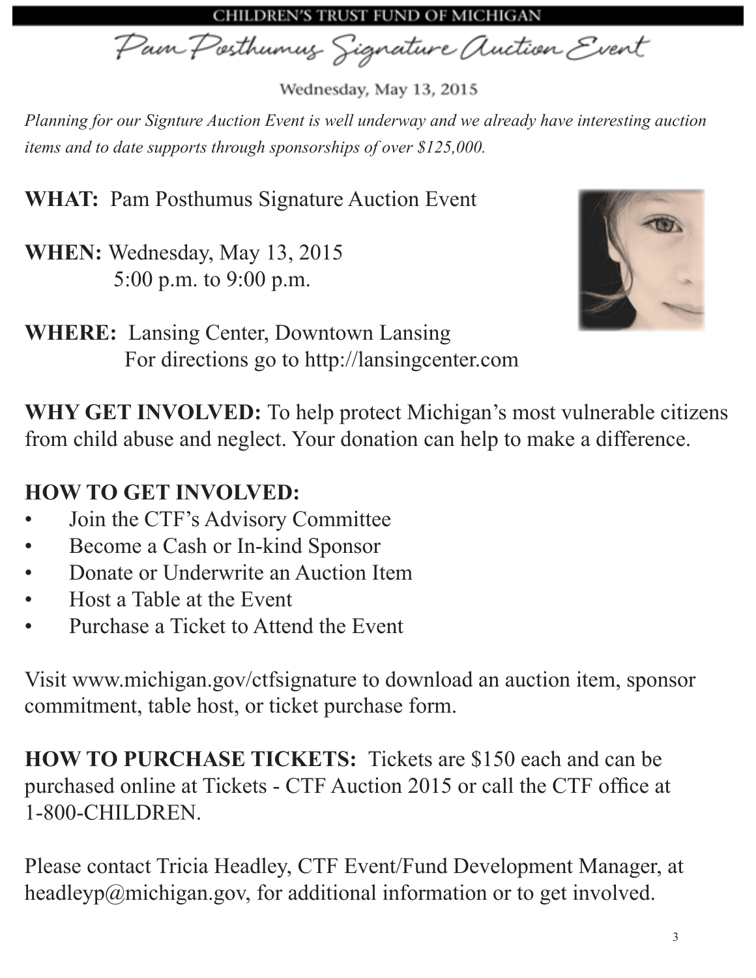CHILDREN'S TRUST FUND OF MICHIGAN

Pain Posthumus Signature Auction Event

Wednesday, May 13, 2015

*Planning for our Signture Auction Event is well underway and we already have interesting auction items and to date supports through sponsorships of over \$125,000.*

**WHAT:** Pam Posthumus Signature Auction Event

**WHEN:** Wednesday, May 13, 2015 5:00 p.m. to 9:00 p.m.



**WHERE:** Lansing Center, Downtown Lansing For directions go to http://lansingcenter.com

**WHY GET INVOLVED:** To help protect Michigan's most vulnerable citizens from child abuse and neglect. Your donation can help to make a difference.

# **HOW TO GET INVOLVED:**

- Join the CTF's Advisory Committee
- Become a Cash or In-kind Sponsor
- Donate or Underwrite an Auction Item
- Host a Table at the Event
- Purchase a Ticket to Attend the Event

Visit www.michigan.gov/ctfsignature to download an auction item, sponsor commitment, table host, or ticket purchase form.

**HOW TO PURCHASE TICKETS:** Tickets are \$150 each and can be purchased online at [Tickets - CTF Auction 2015](https://www.thepayplace.com/mi/dhs/ctf/billpreview.aspx) or call the CTF office at 1-800-CHILDREN.

Please contact Tricia Headley, CTF Event/Fund Development Manager, at headleyp@michigan.gov, for additional information or to get involved.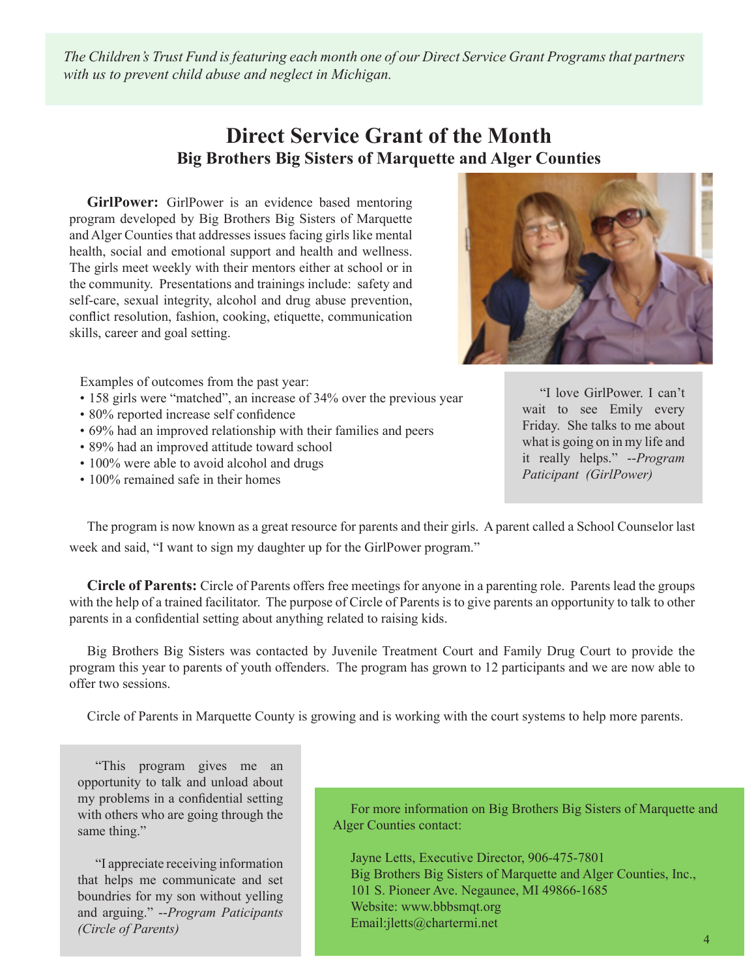*The Children's Trust Fund is featuring each month one of our Direct Service Grant Programs that partners with us to prevent child abuse and neglect in Michigan.* 

#### **Direct Service Grant of the Month Big Brothers Big Sisters of Marquette and Alger Counties**

**GirlPower:** GirlPower is an evidence based mentoring program developed by Big Brothers Big Sisters of Marquette and Alger Counties that addresses issues facing girls like mental health, social and emotional support and health and wellness. The girls meet weekly with their mentors either at school or in the community. Presentations and trainings include: safety and self-care, sexual integrity, alcohol and drug abuse prevention, conflict resolution, fashion, cooking, etiquette, communication skills, career and goal setting.



Examples of outcomes from the past year:

- 158 girls were "matched", an increase of 34% over the previous year
- 80% reported increase self confidence
- 69% had an improved relationship with their families and peers
- 89% had an improved attitude toward school
- 100% were able to avoid alcohol and drugs
- 100% remained safe in their homes

"I love GirlPower. I can't wait to see Emily every Friday. She talks to me about what is going on in my life and it really helps." --*Program Paticipant (GirlPower)*

The program is now known as a great resource for parents and their girls. A parent called a School Counselor last week and said, "I want to sign my daughter up for the GirlPower program."

**Circle of Parents:** Circle of Parents offers free meetings for anyone in a parenting role. Parents lead the groups with the help of a trained facilitator. The purpose of Circle of Parents is to give parents an opportunity to talk to other parents in a confidential setting about anything related to raising kids.

Big Brothers Big Sisters was contacted by Juvenile Treatment Court and Family Drug Court to provide the program this year to parents of youth offenders. The program has grown to 12 participants and we are now able to offer two sessions.

Circle of Parents in Marquette County is growing and is working with the court systems to help more parents.

"This program gives me an opportunity to talk and unload about my problems in a confidential setting with others who are going through the same thing."

"I appreciate receiving information that helps me communicate and set boundries for my son without yelling and arguing." --*Program Paticipants (Circle of Parents)*

For more information on Big Brothers Big Sisters of Marquette and Alger Counties contact:

Jayne Letts, Executive Director, 906-475-7801 Big Brothers Big Sisters of Marquette and Alger Counties, Inc., 101 S. Pioneer Ave. Negaunee, MI 49866-1685 Website: www.bbbsmqt.org Email:jletts@chartermi.net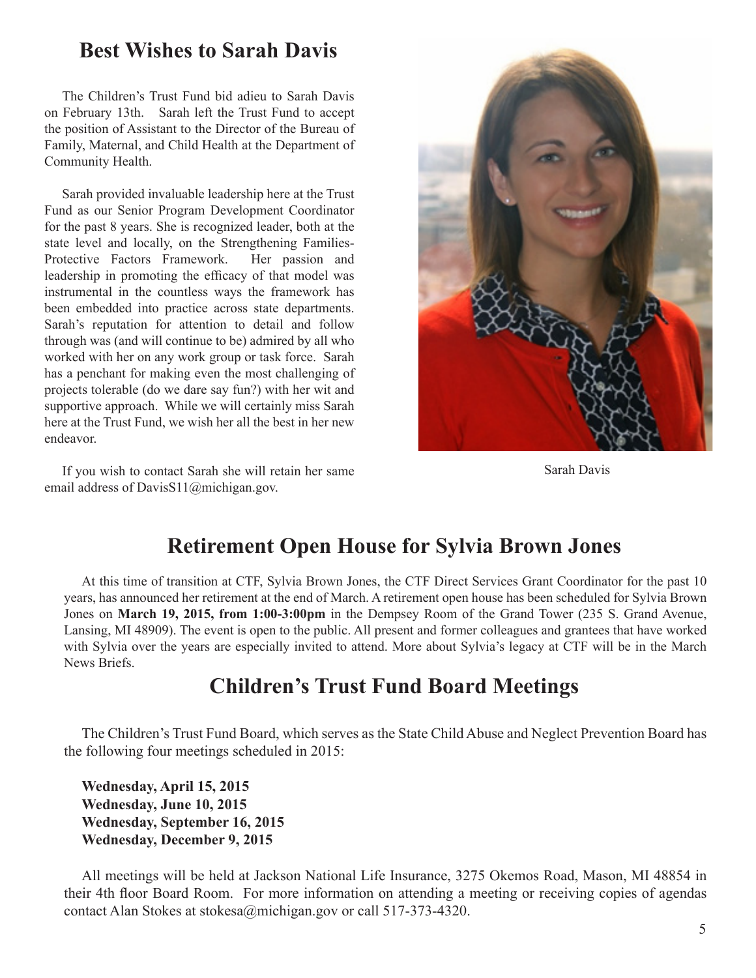### **Best Wishes to Sarah Davis**

The Children's Trust Fund bid adieu to Sarah Davis on February 13th. Sarah left the Trust Fund to accept the position of Assistant to the Director of the Bureau of Family, Maternal, and Child Health at the Department of Community Health.

Sarah provided invaluable leadership here at the Trust Fund as our Senior Program Development Coordinator for the past 8 years. She is recognized leader, both at the state level and locally, on the Strengthening Families-Protective Factors Framework. Her passion and leadership in promoting the efficacy of that model was instrumental in the countless ways the framework has been embedded into practice across state departments. Sarah's reputation for attention to detail and follow through was (and will continue to be) admired by all who worked with her on any work group or task force. Sarah has a penchant for making even the most challenging of projects tolerable (do we dare say fun?) with her wit and supportive approach. While we will certainly miss Sarah here at the Trust Fund, we wish her all the best in her new endeavor.

If you wish to contact Sarah she will retain her same email address of DavisS11@michigan.gov.



Sarah Davis

## **Retirement Open House for Sylvia Brown Jones**

At this time of transition at CTF, Sylvia Brown Jones, the CTF Direct Services Grant Coordinator for the past 10 years, has announced her retirement at the end of March. A retirement open house has been scheduled for Sylvia Brown Jones on **March 19, 2015, from 1:00-3:00pm** in the Dempsey Room of the Grand Tower (235 S. Grand Avenue, Lansing, MI 48909). The event is open to the public. All present and former colleagues and grantees that have worked with Sylvia over the years are especially invited to attend. More about Sylvia's legacy at CTF will be in the March News Briefs.

## **Children's Trust Fund Board Meetings**

The Children's Trust Fund Board, which serves as the State Child Abuse and Neglect Prevention Board has the following four meetings scheduled in 2015:

**Wednesday, April 15, 2015 Wednesday, June 10, 2015 Wednesday, September 16, 2015 Wednesday, December 9, 2015**

All meetings will be held at Jackson National Life Insurance, 3275 Okemos Road, Mason, MI 48854 in their 4th floor Board Room. For more information on attending a meeting or receiving copies of agendas contact Alan Stokes at stokesa@michigan.gov or call 517-373-4320.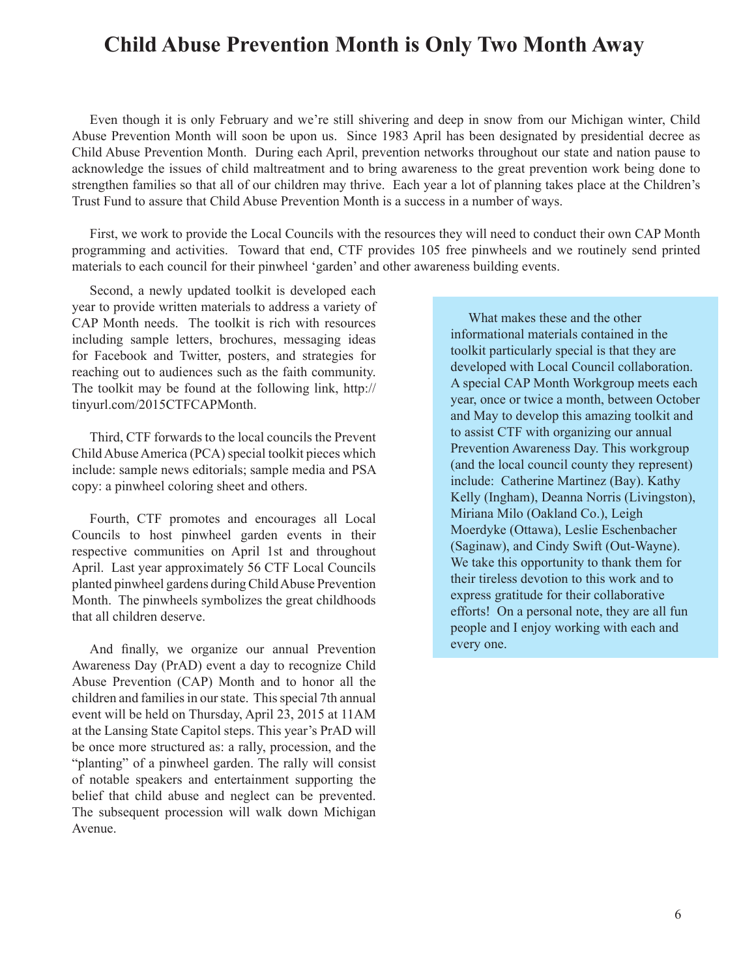## **Child Abuse Prevention Month is Only Two Month Away**

Even though it is only February and we're still shivering and deep in snow from our Michigan winter, Child Abuse Prevention Month will soon be upon us. Since 1983 April has been designated by presidential decree as Child Abuse Prevention Month. During each April, prevention networks throughout our state and nation pause to acknowledge the issues of child maltreatment and to bring awareness to the great prevention work being done to strengthen families so that all of our children may thrive. Each year a lot of planning takes place at the Children's Trust Fund to assure that Child Abuse Prevention Month is a success in a number of ways.

First, we work to provide the Local Councils with the resources they will need to conduct their own CAP Month programming and activities. Toward that end, CTF provides 105 free pinwheels and we routinely send printed materials to each council for their pinwheel 'garden' and other awareness building events.

Second, a newly updated toolkit is developed each year to provide written materials to address a variety of CAP Month needs. The toolkit is rich with resources including sample letters, brochures, messaging ideas for Facebook and Twitter, posters, and strategies for reaching out to audiences such as the faith community. The toolkit may be found at the following link, http:// tinyurl.com/2015CTFCAPMonth.

Third, CTF forwards to the local councils the Prevent Child Abuse America (PCA) special toolkit pieces which include: sample news editorials; sample media and PSA copy: a pinwheel coloring sheet and others.

Fourth, CTF promotes and encourages all Local Councils to host pinwheel garden events in their respective communities on April 1st and throughout April. Last year approximately 56 CTF Local Councils planted pinwheel gardens during Child Abuse Prevention Month. The pinwheels symbolizes the great childhoods that all children deserve.

And finally, we organize our annual Prevention Awareness Day (PrAD) event a day to recognize Child Abuse Prevention (CAP) Month and to honor all the children and families in our state. This special 7th annual event will be held on Thursday, April 23, 2015 at 11AM at the Lansing State Capitol steps. This year's PrAD will be once more structured as: a rally, procession, and the "planting" of a pinwheel garden. The rally will consist of notable speakers and entertainment supporting the belief that child abuse and neglect can be prevented. The subsequent procession will walk down Michigan Avenue.

What makes these and the other informational materials contained in the toolkit particularly special is that they are developed with Local Council collaboration. A special CAP Month Workgroup meets each year, once or twice a month, between October and May to develop this amazing toolkit and to assist CTF with organizing our annual Prevention Awareness Day. This workgroup (and the local council county they represent) include: Catherine Martinez (Bay). Kathy Kelly (Ingham), Deanna Norris (Livingston), Miriana Milo (Oakland Co.), Leigh Moerdyke (Ottawa), Leslie Eschenbacher (Saginaw), and Cindy Swift (Out-Wayne). We take this opportunity to thank them for their tireless devotion to this work and to express gratitude for their collaborative efforts! On a personal note, they are all fun people and I enjoy working with each and every one.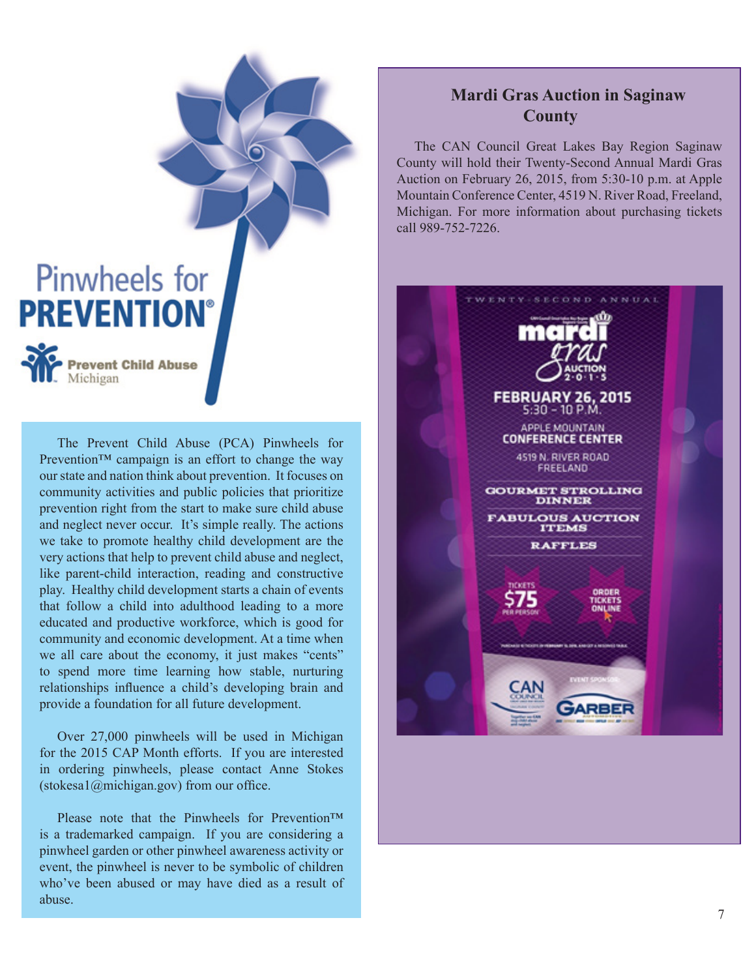

The Prevent Child Abuse (PCA) Pinwheels for Prevention<sup>™</sup> campaign is an effort to change the way our state and nation think about prevention. It focuses on community activities and public policies that prioritize prevention right from the start to make sure child abuse and neglect never occur. It's simple really. The actions we take to promote healthy child development are the very actions that help to prevent child abuse and neglect, like parent-child interaction, reading and constructive play. Healthy child development starts a chain of events that follow a child into adulthood leading to a more educated and productive workforce, which is good for community and economic development. At a time when we all care about the economy, it just makes "cents" to spend more time learning how stable, nurturing relationships influence a child's developing brain and provide a foundation for all future development.

Over 27,000 pinwheels will be used in Michigan for the 2015 CAP Month efforts. If you are interested in ordering pinwheels, please contact Anne Stokes  $(\text{stokesa1@michigan.gov})$  from our office.

Please note that the Pinwheels for Prevention<sup>™</sup> is a trademarked campaign. If you are considering a pinwheel garden or other pinwheel awareness activity or event, the pinwheel is never to be symbolic of children who've been abused or may have died as a result of abuse.

#### **Mardi Gras Auction in Saginaw County**

The CAN Council Great Lakes Bay Region Saginaw County will hold their Twenty-Second Annual Mardi Gras Auction on February 26, 2015, from 5:30-10 p.m. at Apple Mountain Conference Center, 4519 N. River Road, Freeland, Michigan. For more information about purchasing tickets call 989-752-7226.